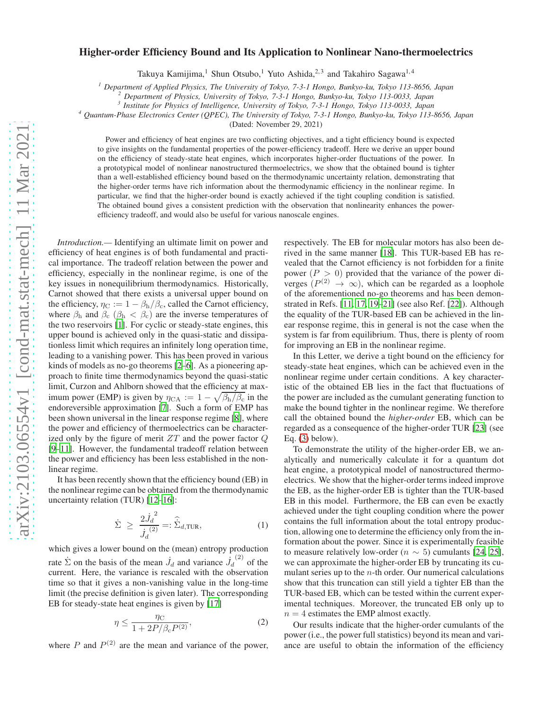# Higher-order Efficiency Bound and Its Application to Nonlinear Nano-thermoelectrics

Takuya Kamijima,<sup>1</sup> Shun Otsubo,<sup>1</sup> Yuto Ashida,<sup>2,3</sup> and Takahiro Sagawa<sup>1,4</sup>

*<sup>1</sup> Department of Applied Physics, The University of Tokyo, 7-3-1 Hongo, Bunkyo-ku, Tokyo 113-8656, Japan*

*<sup>2</sup> Department of Physics, University of Tokyo, 7-3-1 Hongo, Bunkyo-ku, Tokyo 113-0033, Japan*

*3 Institute for Physics of Intelligence, University of Tokyo, 7-3-1 Hongo, Tokyo 113-0033, Japan*

*<sup>4</sup> Quantum-Phase Electronics Center (QPEC), The University of Tokyo, 7-3-1 Hongo, Bunkyo-ku, Tokyo 113-8656, Japan*

(Dated: November 29, 2021)

Power and efficiency of heat engines are two conflicting objectives, and a tight efficiency bound is expected to give insights on the fundamental properties of the power-efficiency tradeoff. Here we derive an upper bound on the efficiency of steady-state heat engines, which incorporates higher-order fluctuations of the power. In a prototypical model of nonlinear nanostructured thermoelectrics, we show that the obtained bound is tighter than a well-established efficiency bound based on the thermodynamic uncertainty relation, demonstrating that the higher-order terms have rich information about the thermodynamic efficiency in the nonlinear regime. In particular, we find that the higher-order bound is exactly achieved if the tight coupling condition is satisfied. The obtained bound gives a consistent prediction with the observation that nonlinearity enhances the powerefficiency tradeoff, and would also be useful for various nanoscale engines.

*Introduction.—* Identifying an ultimate limit on power and efficiency of heat engines is of both fundamental and practical importance. The tradeoff relation between the power and efficiency, especially in the nonlinear regime, is one of the key issues in nonequilibrium thermodynamics. Historically, Carnot showed that there exists a universal upper bound on the efficiency,  $\eta_C := 1 - \beta_h/\beta_c$ , called the Carnot efficiency, where  $\beta_h$  and  $\beta_c$  ( $\beta_h < \beta_c$ ) are the inverse temperatures of the two reservoirs [\[1](#page-4-0)]. For cyclic or steady-state engines, this upper bound is achieved only in the quasi-static and dissipationless limit which requires an infinitely long operation time, leading to a vanishing power. This has been proved in various kinds of models as no-go theorems [\[2](#page-4-1)[–6\]](#page-4-2). As a pioneering approach to finite time thermodynamics beyond the quasi-static limit, Curzon and Ahlborn showed that the efficiency at maximum power (EMP) is given by  $\eta_{\text{CA}} := 1 - \sqrt{\beta_{\text{h}}/\beta_{\text{c}}}$  in the endoreversible approximation [\[7](#page-4-3)]. Such a form of EMP has been shown universal in the linear response regime [\[8\]](#page-4-4), where the power and efficiency of thermoelectrics can be characterized only by the figure of merit  $ZT$  and the power factor  $Q$ [\[9](#page-4-5)[–11](#page-4-6)]. However, the fundamental tradeoff relation between the power and efficiency has been less established in the nonlinear regime.

It has been recently shown that the efficiency bound (EB) in the nonlinear regime can be obtained from the thermodynamic uncertainty relation (TUR) [\[12](#page-4-7)[–16\]](#page-4-8):

<span id="page-0-0"></span>
$$
\dot{\Sigma} \ge \frac{2\dot{J}_d^2}{\dot{J}_d^{(2)}} =: \hat{\Sigma}_{d,\text{TUR}},\tag{1}
$$

which gives a lower bound on the (mean) entropy production rate  $\dot{\Sigma}$  on the basis of the mean  $\dot{J}_d$  and variance  $\dot{J}_d^{(2)}$  of the current. Here, the variance is rescaled with the observation time so that it gives a non-vanishing value in the long-time limit (the precise definition is given later). The corresponding EB for steady-state heat engines is given by [\[17\]](#page-4-9)

$$
\eta \le \frac{\eta_C}{1 + 2P/\beta_c P^{(2)}},\tag{2}
$$

where P and  $P^{(2)}$  are the mean and variance of the power,

respectively. The EB for molecular motors has also been derived in the same manner [\[18](#page-4-10)]. This TUR-based EB has revealed that the Carnot efficiency is not forbidden for a finite power  $(P > 0)$  provided that the variance of the power diverges  $(P^{(2)} \rightarrow \infty)$ , which can be regarded as a loophole of the aforementioned no-go theorems and has been demonstrated in Refs. [\[11,](#page-4-6) [17,](#page-4-9) [19](#page-4-11)[–21](#page-4-12)] (see also Ref. [\[22](#page-4-13)]). Although the equality of the TUR-based EB can be achieved in the linear response regime, this in general is not the case when the system is far from equilibrium. Thus, there is plenty of room for improving an EB in the nonlinear regime.

In this Letter, we derive a tight bound on the efficiency for steady-state heat engines, which can be achieved even in the nonlinear regime under certain conditions. A key characteristic of the obtained EB lies in the fact that fluctuations of the power are included as the cumulant generating function to make the bound tighter in the nonlinear regime. We therefore call the obtained bound the *higher-order* EB, which can be regarded as a consequence of the higher-order TUR [\[23](#page-4-14)] (see Eq.  $(3)$  below).

To demonstrate the utility of the higher-order EB, we analytically and numerically calculate it for a quantum dot heat engine, a prototypical model of nanostructured thermoelectrics. We show that the higher-order terms indeed improve the EB, as the higher-order EB is tighter than the TUR-based EB in this model. Furthermore, the EB can even be exactly achieved under the tight coupling condition where the power contains the full information about the total entropy production, allowing one to determine the efficiency only from the information about the power. Since it is experimentally feasible to measure relatively low-order ( $n \sim 5$ ) cumulants [\[24,](#page-4-15) [25](#page-4-16)], we can approximate the higher-order EB by truncating its cumulant series up to the  $n$ -th order. Our numerical calculations show that this truncation can still yield a tighter EB than the TUR-based EB, which can be tested within the current experimental techniques. Moreover, the truncated EB only up to  $n = 4$  estimates the EMP almost exactly.

Our results indicate that the higher-order cumulants of the power (i.e., the power full statistics) beyond its mean and variance are useful to obtain the information of the efficiency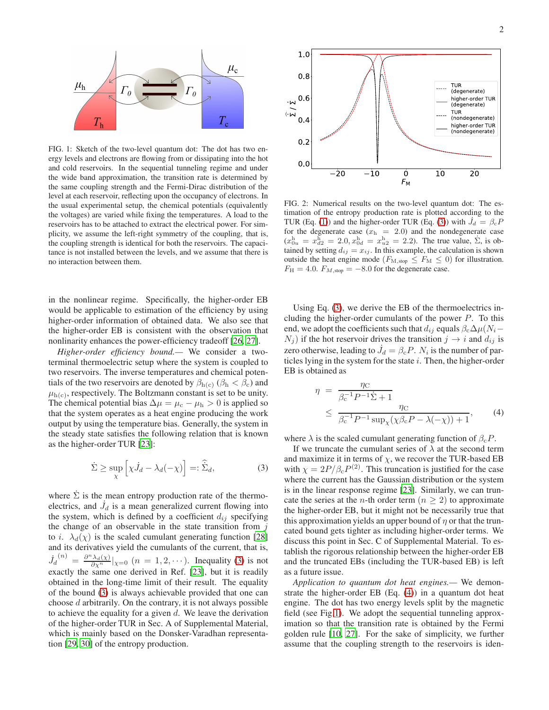

<span id="page-1-2"></span>FIG. 1: Sketch of the two-level quantum dot: The dot has two energy levels and electrons are flowing from or dissipating into the hot and cold reservoirs. In the sequential tunneling regime and under the wide band approximation, the transition rate is determined by the same coupling strength and the Fermi-Dirac distribution of the level at each reservoir, reflecting upon the occupancy of electrons. In the usual experimental setup, the chemical potentials (equivalently the voltages) are varied while fixing the temperatures. A load to the reservoirs has to be attached to extract the electrical power. For simplicity, we assume the left-right symmetry of the coupling, that is, the coupling strength is identical for both the reservoirs. The capacitance is not installed between the levels, and we assume that there is no interaction between them.

in the nonlinear regime. Specifically, the higher-order EB would be applicable to estimation of the efficiency by using higher-order information of obtained data. We also see that the higher-order EB is consistent with the observation that nonlinarity enhances the power-efficiency tradeoff [\[26](#page-4-17), [27](#page-4-18)].

*Higher-order efficiency bound.—* We consider a twoterminal thermoelectric setup where the system is coupled to two reservoirs. The inverse temperatures and chemical potentials of the two reservoirs are denoted by  $\beta_{h(c)}$  ( $\beta_h < \beta_c$ ) and  $\mu_{h(c)}$ , respectively. The Boltzmann constant is set to be unity. The chemical potential bias  $\Delta \mu = \mu_c - \mu_h > 0$  is applied so that the system operates as a heat engine producing the work output by using the temperature bias. Generally, the system in the steady state satisfies the following relation that is known as the higher-order TUR [\[23](#page-4-14)]:

<span id="page-1-0"></span>
$$
\dot{\Sigma} \ge \sup_{\chi} \left[ \chi \dot{J}_d - \lambda_d (-\chi) \right] =: \hat{\dot{\Sigma}}_d,\tag{3}
$$

where  $\dot{\Sigma}$  is the mean entropy production rate of the thermoelectrics, and  $\dot{J}_d$  is a mean generalized current flowing into the system, which is defined by a coefficient  $d_{ij}$  specifying the change of an observable in the state transition from  $j$ to *i*.  $\lambda_d(\chi)$  is the scaled cumulant generating function [\[28\]](#page-4-19) and its derivatives yield the cumulants of the current, that is,  $\dot{J}_d$  $\binom{n}{k} = \frac{\partial^n \lambda_d(\chi)}{\partial \chi^n}|_{\chi=0}$   $(n = 1, 2, \cdots)$ . Inequality [\(3\)](#page-1-0) is not exactly the same one derived in Ref. [\[23\]](#page-4-14), but it is readily obtained in the long-time limit of their result. The equality of the bound [\(3\)](#page-1-0) is always achievable provided that one can choose d arbitrarily. On the contrary, it is not always possible to achieve the equality for a given  $d$ . We leave the derivation of the higher-order TUR in Sec. A of Supplemental Material, which is mainly based on the Donsker-Varadhan representation [\[29](#page-4-20), [30](#page-4-21)] of the entropy production.



<span id="page-1-3"></span>FIG. 2: Numerical results on the two-level quantum dot: The estimation of the entropy production rate is plotted according to the TUR (Eq. [\(1\)](#page-0-0)) and the higher-order TUR (Eq. [\(3\)](#page-1-0)) with  $\dot{J}_d = \beta_c P$ for the degenerate case  $(x<sub>h</sub> = 2.0)$  and the nondegenerate case  $(x_{0u}^{\text{h}} = x_{d2}^{\text{h}} = 2.0, x_{0d}^{\text{h}} = x_{u2}^{\text{h}} = 2.2)$ . The true value,  $\dot{\Sigma}$ , is obtained by setting  $d_{ij} = x_{ij}$ . In this example, the calculation is shown outside the heat engine mode ( $F_{\text{M,stop}} \leq F_{\text{M}} \leq 0$ ) for illustration.  $F_{\rm H} = 4.0$ .  $F_{M,\rm stop} = -8.0$  for the degenerate case.

Using Eq. [\(3\)](#page-1-0), we derive the EB of the thermoelectrics including the higher-order cumulants of the power  $P$ . To this end, we adopt the coefficients such that  $d_{ij}$  equals  $\beta_c\Delta\mu(N_i-\mu)$  $N_j$ ) if the hot reservoir drives the transition  $j \rightarrow i$  and  $d_{ij}$  is zero otherwise, leading to  $\dot{J}_d = \beta_c P$ .  $N_i$  is the number of particles lying in the system for the state  $i$ . Then, the higher-order EB is obtained as

<span id="page-1-1"></span>
$$
\eta = \frac{\eta_{\rm C}}{\beta_{\rm c}^{-1} P^{-1} \dot{\Sigma} + 1}
$$
  
 
$$
\leq \frac{\eta_{\rm C}}{\beta_{\rm c}^{-1} P^{-1} \sup_{\chi} (\chi \beta_{\rm c} P - \lambda(-\chi)) + 1}, \qquad (4)
$$

where  $\lambda$  is the scaled cumulant generating function of  $\beta_c P$ .

If we truncate the cumulant series of  $\lambda$  at the second term and maximize it in terms of  $\chi$ , we recover the TUR-based EB with  $\chi = 2P/\beta_c P^{(2)}$ . This truncation is justified for the case where the current has the Gaussian distribution or the system is in the linear response regime [\[23](#page-4-14)]. Similarly, we can truncate the series at the *n*-th order term ( $n \geq 2$ ) to approximate the higher-order EB, but it might not be necessarily true that this approximation yields an upper bound of  $\eta$  or that the truncated bound gets tighter as including higher-order terms. We discuss this point in Sec. C of Supplemental Material. To establish the rigorous relationship between the higher-order EB and the truncated EBs (including the TUR-based EB) is left as a future issue.

*Application to quantum dot heat engines.—* We demonstrate the higher-order EB (Eq. [\(4\)](#page-1-1)) in a quantum dot heat engine. The dot has two energy levels split by the magnetic field (see Fig[.1\)](#page-1-2). We adopt the sequential tunneling approximation so that the transition rate is obtained by the Fermi golden rule [\[10](#page-4-22), [27](#page-4-18)]. For the sake of simplicity, we further assume that the coupling strength to the reservoirs is iden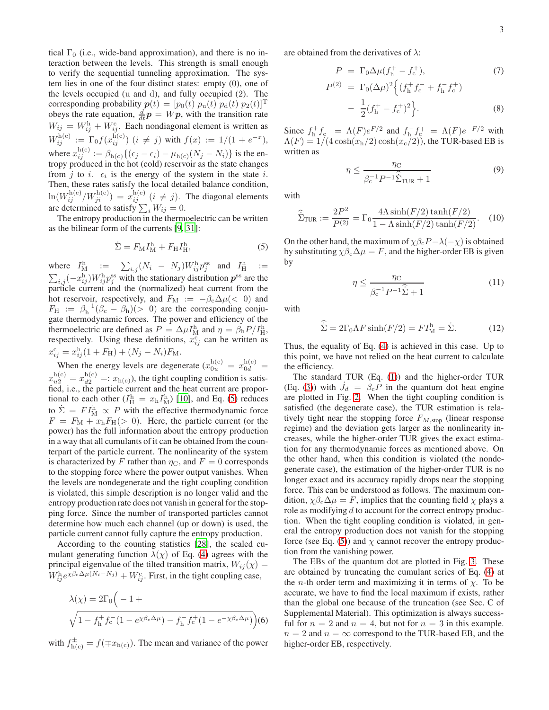tical  $\Gamma_0$  (i.e., wide-band approximation), and there is no interaction between the levels. This strength is small enough to verify the sequential tunneling approximation. The system lies in one of the four distinct states: empty (0), one of the levels occupied (u and d), and fully occupied (2). The corresponding probability  $p(t) = [p_0(t) \ p_u(t) \ p_d(t) \ p_2(t)]^T$ obeys the rate equation,  $\frac{d}{dt}p = Wp$ , with the transition rate  $W_{ij} = W_{ij}^{\text{h}} + W_{ij}^{\text{c}}$ . Each nondiagonal element is written as  $W_{ij}^{\text{h(c)}} := \Gamma_0 f(x_{ij}^{\text{h(c)}})$   $(i \neq j)$  with  $f(x) := 1/(1 + e^{-x}),$ where  $x_{ij}^{\text{h(c)}} := \beta_{\text{h(c)}}\{(\epsilon_j - \epsilon_i) - \mu_{\text{h(c)}}(N_j - N_i)\}\)$  is the entropy produced in the hot (cold) reservoir as the state changes from j to i.  $\epsilon_i$  is the energy of the system in the state i. Then, these rates satisfy the local detailed balance condition,  $\ln(W_{ij}^{h(c)}/W_{ji}^{h(c)}) = x_{ij}^{h(c)}$   $(i \neq j)$ . The diagonal elements are determined to satisfy  $\sum_i W_{ij} = 0$ .

The entropy production in the thermoelectric can be written as the bilinear form of the currents [\[9,](#page-4-5) [31\]](#page-4-23):

<span id="page-2-0"></span>
$$
\dot{\Sigma} = F_{\rm M} I_{\rm M}^{\rm h} + F_{\rm H} I_{\rm H}^{\rm h},\tag{5}
$$

where  $I_{\text{M}}^{\text{h}} := \sum_{i,j} (N_i - N_j) W_{ij}^{\text{h}} p_j^{\text{ss}}$  and  $I_{\text{H}}^{\text{h}} := \sum_{i,j} (-x_{ij}^{\text{h}}) W_{ij}^{\text{h}} p_j^{\text{ss}}$  with the stationary distribution  $p^{\text{ss}}$  are the particle current and the (normalized) heat current from the hot reservoir, respectively, and  $F_M := -\beta_c \Delta \mu (< 0)$  and  $F_{\rm H}$  :=  $\beta_{\rm h}^{-1}(\beta_{\rm c} - \beta_{\rm h})(>0)$  are the corresponding conjugate thermodynamic forces. The power and efficiency of the thermoelectric are defined as  $P = \Delta \mu I_{\text{M}}^{\text{h}}$  and  $\eta = \beta_{\text{h}} P / I_{\text{H}}^{\text{h}}$ , respectively. Using these definitions,  $x_{ij}^c$  can be written as  $x_{ij}^{\rm c} = x_{ij}^{\rm h}(1 + F_{\rm H}) + (N_j - N_i)F_{\rm M}.$ 

When the energy levels are degenerate  $(x_{0u}^{\text{h(c)}} = x_{0d}^{\text{h(c)}} =$  $x_{u2}^{\text{h(c)}} = x_{d2}^{\text{h(c)}} =: x_{\text{h(c)}}$ , the tight coupling condition is satisfied, i.e., the particle current and the heat current are proportional to each other  $(I_H^{\text{h}} = x_h I_M^{\text{h}})$  [\[10\]](#page-4-22), and Eq. [\(5\)](#page-2-0) reduces to  $\dot{\Sigma} = F I_M^{\text{h}} \propto P$  with the effective thermodynamic force  $F = F_{\text{M}} + x_{\text{h}}F_{\text{H}}(> 0)$ . Here, the particle current (or the power) has the full information about the entropy production in a way that all cumulants of it can be obtained from the counterpart of the particle current. The nonlinearity of the system is characterized by F rather than  $\eta_C$ , and  $F = 0$  corresponds to the stopping force where the power output vanishes. When the levels are nondegenerate and the tight coupling condition is violated, this simple description is no longer valid and the entropy production rate does not vanish in general for the stopping force. Since the number of transported particles cannot determine how much each channel (up or down) is used, the particle current cannot fully capture the entropy production.

According to the counting statistics [\[28](#page-4-19)], the scaled cumulant generating function  $\lambda(\chi)$  of Eq. [\(4\)](#page-1-1) agrees with the principal eigenvalue of the tilted transition matrix,  $W_{ij}(\chi) =$  $W_{ij}^{\text{h}} e^{\chi\beta_c\Delta\mu(N_i-N_j)} + W_{ij}^{\text{c}}$ . First, in the tight coupling case,

$$
\lambda(\chi) = 2\Gamma_0 \left( -1 + \sqrt{1 - f_h^+ f_c^-(1 - e^{\chi\beta_c\Delta\mu}) - f_h^- f_c^+(1 - e^{-\chi\beta_c\Delta\mu})} \right) (6)
$$

with  $f_{h(c)}^{\pm} = f(\mp x_{h(c)})$ . The mean and variance of the power

are obtained from the derivatives of  $\lambda$ :

$$
P = \Gamma_0 \Delta \mu (f_h^+ - f_c^+),
$$
\n
$$
P^{(2)} = \Gamma_0 (\Delta \mu)^2 \left\{ (f_h^+ f_c^- + f_h^- f_c^+) - \frac{1}{2} (f_h^+ - f_c^+)^2 \right\}.
$$
\n(8)

Since  $f_h^+ f_c^- = \Lambda(F) e^{F/2}$  and  $f_h^- f_c^+ = \Lambda(F) e^{-F/2}$  with  $\Lambda(F) = 1/(4 \cosh(x_h/2) \cosh(x_c/2))$ , the TUR-based EB is written as

$$
\eta \le \frac{\eta_C}{\beta_c^{-1} P^{-1} \hat{\Sigma}_{\text{TUR}} + 1} \tag{9}
$$

with

$$
\hat{\Sigma}_{\text{TUR}} := \frac{2P^2}{P^{(2)}} = \Gamma_0 \frac{4\Lambda \sinh(F/2) \tanh(F/2)}{1 - \Lambda \sinh(F/2) \tanh(F/2)}.
$$
 (10)

On the other hand, the maximum of  $\chi \beta_c P - \lambda(-\chi)$  is obtained by substituting  $\chi \beta_c \Delta \mu = F$ , and the higher-order EB is given by

$$
\eta \le \frac{\eta_C}{\beta_c^{-1} P^{-1} \hat{\Sigma} + 1} \tag{11}
$$

with

$$
\widehat{\dot{\Sigma}} = 2\Gamma_0 \Lambda F \sinh(F/2) = F I_M^{\text{h}} = \dot{\Sigma}.
$$
 (12)

Thus, the equality of Eq. [\(4\)](#page-1-1) is achieved in this case. Up to this point, we have not relied on the heat current to calculate the efficiency.

The standard TUR (Eq. [\(1\)](#page-0-0)) and the higher-order TUR (Eq. [\(3\)](#page-1-0)) with  $\dot{J}_d = \beta_c \dot{P}$  in the quantum dot heat engine are plotted in Fig. [2.](#page-1-3) When the tight coupling condition is satisfied (the degenerate case), the TUR estimation is relatively tight near the stopping force  $F_{M,\text{stop}}$  (linear response regime) and the deviation gets larger as the nonlinearity increases, while the higher-order TUR gives the exact estimation for any thermodynamic forces as mentioned above. On the other hand, when this condition is violated (the nondegenerate case), the estimation of the higher-order TUR is no longer exact and its accuracy rapidly drops near the stopping force. This can be understood as follows. The maximum condition,  $\chi \beta_c \Delta \mu = F$ , implies that the counting field  $\chi$  plays a role as modifying d to account for the correct entropy production. When the tight coupling condition is violated, in general the entropy production does not vanish for the stopping force (see Eq. [\(5\)](#page-2-0)) and  $\chi$  cannot recover the entropy production from the vanishing power.

The EBs of the quantum dot are plotted in Fig. [3.](#page-3-0) These are obtained by truncating the cumulant series of Eq. [\(4\)](#page-1-1) at the *n*-th order term and maximizing it in terms of  $\chi$ . To be accurate, we have to find the local maximum if exists, rather than the global one because of the truncation (see Sec. C of Supplemental Material). This optimization is always successful for  $n = 2$  and  $n = 4$ , but not for  $n = 3$  in this example.  $n = 2$  and  $n = \infty$  correspond to the TUR-based EB, and the higher-order EB, respectively.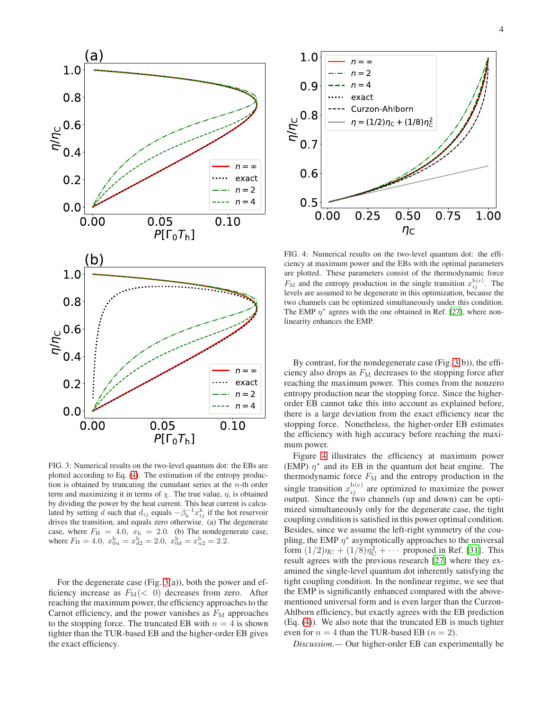

<span id="page-3-0"></span>FIG. 3: Numerical results on the two-level quantum dot: the EBs are plotted according to Eq. [\(4\)](#page-1-1). The estimation of the entropy production is obtained by truncating the cumulant series at the  $n$ -th order term and maximizing it in terms of  $\chi$ . The true value,  $\eta$ , is obtained by dividing the power by the heat current. This heat current is calculated by setting d such that  $d_{ij}$  equals  $-\beta_{\rm h}^{-1}x_{ij}^{\rm h}$  if the hot reservoir drives the transition, and equals zero otherwise. (a) The degenerate case, where  $F_{\text{H}} = 4.0$ ,  $x_{\text{h}} = 2.0$ . (b) The nondegenerate case, where  $F_H = 4.0$ ,  $x_{0u}^h = x_{d2}^h = 2.0$ ,  $x_{0d}^h = x_{u2}^h = 2.2$ .

For the degenerate case (Fig.  $3(a)$ ), both the power and efficiency increase as  $F_M(<sub>0</sub>)$  decreases from zero. After reaching the maximum power, the efficiency approaches to the Carnot efficiency, and the power vanishes as  $F<sub>M</sub>$  approaches to the stopping force. The truncated EB with  $n = 4$  is shown tighter than the TUR-based EB and the higher-order EB gives the exact efficiency.



<span id="page-3-1"></span>FIG. 4: Numerical results on the two-level quantum dot: the efficiency at maximum power and the EBs with the optimal parameters are plotted. These parameters consist of the thermodynamic force  $F_{\text{M}}$  and the entropy production in the single transition  $x_{ij}^{\text{h(c)}}$ . The levels are assumed to be degenerate in this optimization, because the two channels can be optimized simultaneously under this condition. The EMP  $\eta^*$  agrees with the one obtained in Ref. [\[27](#page-4-18)], where nonlinearity enhances the EMP.

By contrast, for the nondegenerate case (Fig. [3\(](#page-3-0)b)), the efficiency also drops as  $F_M$  decreases to the stopping force after reaching the maximum power. This comes from the nonzero entropy production near the stopping force. Since the higherorder EB cannot take this into account as explained before, there is a large deviation from the exact efficiency near the stopping force. Nonetheless, the higher-order EB estimates the efficiency with high accuracy before reaching the maximum power.

Figure [4](#page-3-1) illustrates the efficiency at maximum power (EMP)  $\eta^*$  and its EB in the quantum dot heat engine. The thermodynamic force  $F_M$  and the entropy production in the single transition  $x_{ij}^{\text{h(c)}}$  are optimized to maximize the power output. Since the two channels (up and down) can be optimized simultaneously only for the degenerate case, the tight coupling condition is satisfied in this power optimal condition. Besides, since we assume the left-right symmetry of the coupling, the EMP  $\eta^*$  asymptotically approaches to the universal form  $(1/2)\eta_C + (1/8)\eta_C^2 + \cdots$  proposed in Ref. [\[31\]](#page-4-23). This result agrees with the previous research [\[27\]](#page-4-18) where they examined the single-level quantum dot inherently satisfying the tight coupling condition. In the nonlinear regime, we see that the EMP is significantly enhanced compared with the abovementioned universal form and is even larger than the Curzon-Ahlborn efficiency, but exactly agrees with the EB prediction (Eq. [\(4\)](#page-1-1)). We also note that the truncated EB is much tighter even for  $n = 4$  than the TUR-based EB ( $n = 2$ ).

*Discussion.—* Our higher-order EB can experimentally be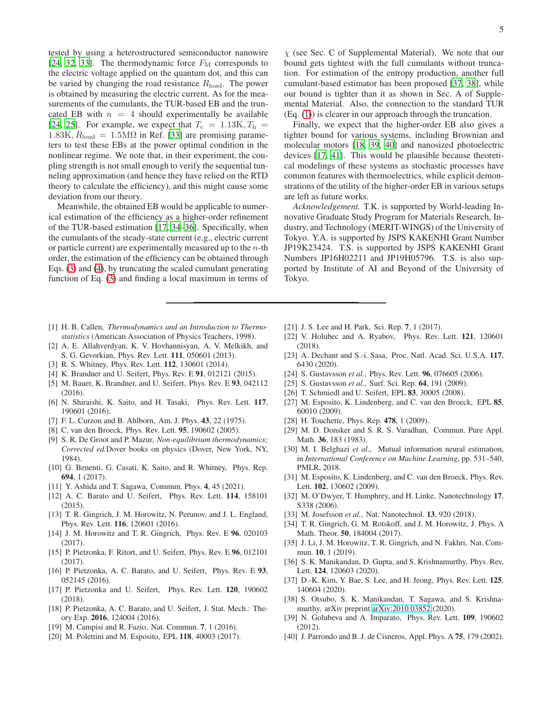tested by using a heterostructured semiconductor nanowire [\[24](#page-4-15), [32,](#page-4-24) [33\]](#page-4-25). The thermodynamic force  $F_{\rm M}$  corresponds to the electric voltage applied on the quantum dot, and this can be varied by changing the road resistance  $R_{load}$ . The power is obtained by measuring the electric current. As for the measurements of the cumulants, the TUR-based EB and the truncated EB with  $n = 4$  should experimentally be available [\[24](#page-4-15), [25\]](#page-4-16). For example, we expect that  $T_c = 1.13K, T_h =$  $1.83K, R<sub>load</sub> = 1.5M\Omega$  in Ref. [\[33\]](#page-4-25) are promising parameters to test these EBs at the power optimal condition in the nonlinear regime. We note that, in their experiment, the coupling strength is not small enough to verify the sequential tunneling approximation (and hence they have relied on the RTD theory to calculate the efficiency), and this might cause some deviation from our theory.

Meanwhile, the obtained EB would be applicable to numerical estimation of the efficiency as a higher-order refinement of the TUR-based estimation [\[17](#page-4-9), [34](#page-4-26)[–36](#page-4-27)]. Specifically, when the cumulants of the steady-state current (e.g., electric current or particle current) are experimentally measured up to the  $n$ -th order, the estimation of the efficiency can be obtained through Eqs. [\(3\)](#page-1-0) and [\(4\)](#page-1-1), by truncating the scaled cumulant generating function of Eq. [\(3\)](#page-1-0) and finding a local maximum in terms of

- <span id="page-4-0"></span>[1] H. B. Callen, *Thermodynamics and an Introduction to Thermostatistics* (American Association of Physics Teachers, 1998).
- <span id="page-4-1"></span>[2] A. E. Allahverdyan, K. V. Hovhannisyan, A. V. Melkikh, and S. G. Gevorkian, Phys. Rev. Lett. 111, 050601 (2013).
- [3] R. S. Whitney, Phys. Rev. Lett. **112**, 130601 (2014).
- [4] K. Brandner and U. Seifert, Phys. Rev. E 91, 012121 (2015).
- [5] M. Bauer, K. Brandner, and U. Seifert, Phys. Rev. E 93, 042112 (2016).
- <span id="page-4-2"></span>[6] N. Shiraishi, K. Saito, and H. Tasaki, Phys. Rev. Lett. 117, 190601 (2016).
- <span id="page-4-3"></span>[7] F. L. Curzon and B. Ahlborn, Am. J. Phys. 43, 22 (1975).
- <span id="page-4-4"></span>[8] C. van den Broeck, Phys. Rev. Lett. **95**, 190602 (2005).
- <span id="page-4-5"></span>[9] S. R. De Groot and P. Mazur, *Non-equilibrium thermodynamics; Corrected ed.*Dover books on physics (Dover, New York, NY, 1984).
- <span id="page-4-22"></span>[10] G. Benenti, G. Casati, K. Saito, and R. Whitney, Phys. Rep. 694, 1 (2017).
- <span id="page-4-6"></span>[11] Y. Ashida and T. Sagawa, Commun. Phys. 4, 45 (2021).
- <span id="page-4-7"></span>[12] A. C. Barato and U. Seifert, Phys. Rev. Lett. 114, 158101 (2015).
- <span id="page-4-32"></span>[13] T. R. Gingrich, J. M. Horowitz, N. Perunov, and J. L. England, Phys. Rev. Lett. 116, 120601 (2016).
- <span id="page-4-33"></span>[14] J. M. Horowitz and T. R. Gingrich, Phys. Rev. E 96, 020103 (2017).
- <span id="page-4-34"></span>[15] P. Pietzonka, F. Ritort, and U. Seifert, Phys. Rev. E 96, 012101 (2017).
- <span id="page-4-8"></span>[16] P. Pietzonka, A. C. Barato, and U. Seifert, Phys. Rev. E 93, 052145 (2016).
- <span id="page-4-9"></span>[17] P. Pietzonka and U. Seifert, Phys. Rev. Lett. 120, 190602 (2018).
- <span id="page-4-10"></span>[18] P. Pietzonka, A. C. Barato, and U. Seifert, J. Stat. Mech.: Theory Exp. 2016, 124004 (2016).
- <span id="page-4-11"></span>[19] M. Campisi and R. Fazio, Nat. Commun. 7, 1 (2016).
- [20] M. Polettini and M. Esposito, EPL 118, 40003 (2017).

 $\chi$  (see Sec. C of Supplemental Material). We note that our bound gets tightest with the full cumulants without truncation. For estimation of the entropy production, another full cumulant-based estimator has been proposed [\[37](#page-4-28), [38\]](#page-4-29), while our bound is tighter than it as shown in Sec. A of Supplemental Material. Also, the connection to the standard TUR (Eq. [\(1\)](#page-0-0)) is clearer in our approach through the truncation.

Finally, we expect that the higher-order EB also gives a tighter bound for various systems, including Brownian and molecular motors [\[18](#page-4-10), [39](#page-4-30), [40\]](#page-4-31) and nanosized photoelectric devices [\[17,](#page-4-9) [41\]](#page-5-0). This would be plausible because theoretical modelings of these systems as stochastic processes have common features with thermoelectrics, while explicit demonstrations of the utility of the higher-order EB in various setups are left as future works.

*Acknowledgement.* T.K. is supported by World-leading Innovative Graduate Study Program for Materials Research, Industry, and Technology (MERIT-WINGS) of the University of Tokyo. Y.A. is supported by JSPS KAKENHI Grant Number JP19K23424. T.S. is supported by JSPS KAKENHI Grant Numbers JP16H02211 and JP19H05796. T.S. is also supported by Institute of AI and Beyond of the University of Tokyo.

- <span id="page-4-12"></span>[21] J. S. Lee and H. Park, Sci. Rep. 7, 1 (2017).
- <span id="page-4-13"></span>[22] V. Holubec and A. Ryabov, Phys. Rev. Lett. **121**, 120601 (2018).
- <span id="page-4-14"></span>[23] A. Dechant and S.-i. Sasa, Proc. Natl. Acad. Sci. U.S.A. 117, 6430 (2020).
- <span id="page-4-15"></span>[24] S. Gustavsson *et al.*, Phys. Rev. Lett. **96**, 076605 (2006).
- <span id="page-4-16"></span>[25] S. Gustavsson *et al.*, Surf. Sci. Rep. **64**, 191 (2009).
- <span id="page-4-17"></span>[26] T. Schmiedl and U. Seifert, EPL 83, 30005 (2008).
- <span id="page-4-18"></span>[27] M. Esposito, K. Lindenberg, and C. van den Broeck, EPL 85, 60010 (2009).
- <span id="page-4-19"></span>[28] H. Touchette, Phys. Rep. 478, 1 (2009).
- <span id="page-4-20"></span>[29] M. D. Donsker and S. R. S. Varadhan, Commun. Pure Appl. Math. 36, 183 (1983).
- <span id="page-4-21"></span>[30] M. I. Belghazi *et al.*, Mutual information neural estimation, in *International Conference on Machine Learning*, pp. 531–540, PMLR, 2018.
- <span id="page-4-23"></span>[31] M. Esposito, K. Lindenberg, and C. van den Broeck, Phys. Rev. Lett. **102**, 130602 (2009).
- <span id="page-4-24"></span>[32] M. O'Dwyer, T. Humphrey, and H. Linke, Nanotechnology 17, S338 (2006).
- <span id="page-4-25"></span>[33] M. Josefsson *et al.*, Nat. Nanotechnol. 13, 920 (2018).
- <span id="page-4-26"></span>[34] T. R. Gingrich, G. M. Rotskoff, and J. M. Horowitz, J. Phys. A Math. Theor. 50, 184004 (2017).
- [35] J. Li, J. M. Horowitz, T. R. Gingrich, and N. Fakhri, Nat. Commun. 10, 1 (2019).
- <span id="page-4-27"></span>[36] S. K. Manikandan, D. Gupta, and S. Krishnamurthy, Phys. Rev. Lett. 124, 120603 (2020).
- <span id="page-4-28"></span>[37] D.-K. Kim, Y. Bae, S. Lee, and H. Jeong, Phys. Rev. Lett. 125, 140604 (2020).
- <span id="page-4-29"></span>[38] S. Otsubo, S. K. Manikandan, T. Sagawa, and S. Krishnamurthy, arXiv preprint [arXiv:2010.03852](http://arxiv.org/abs/2010.03852) (2020).
- <span id="page-4-30"></span>[39] N. Golubeva and A. Imparato, Phys. Rev. Lett. 109, 190602 (2012).
- <span id="page-4-31"></span>[40] J. Parrondo and B. J. de Cisneros, Appl. Phys. A 75, 179 (2002).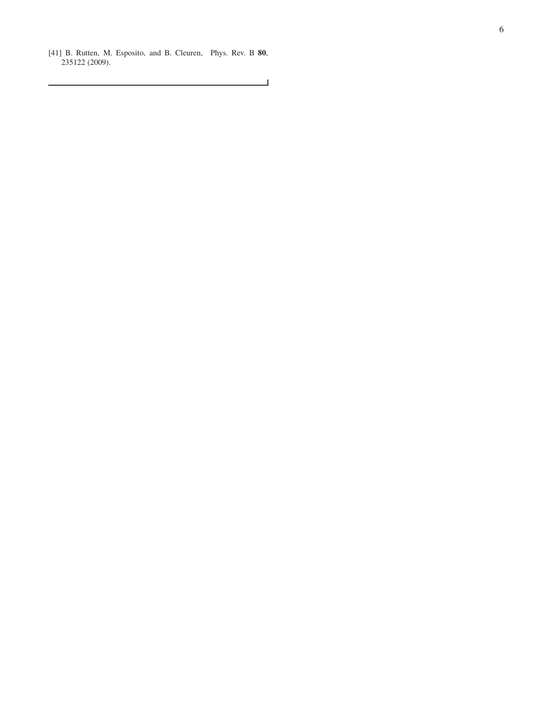<span id="page-5-0"></span>[41] B. Rutten, M. Esposito, and B. Cleuren, Phys. Rev. B 80, 235122 (2009).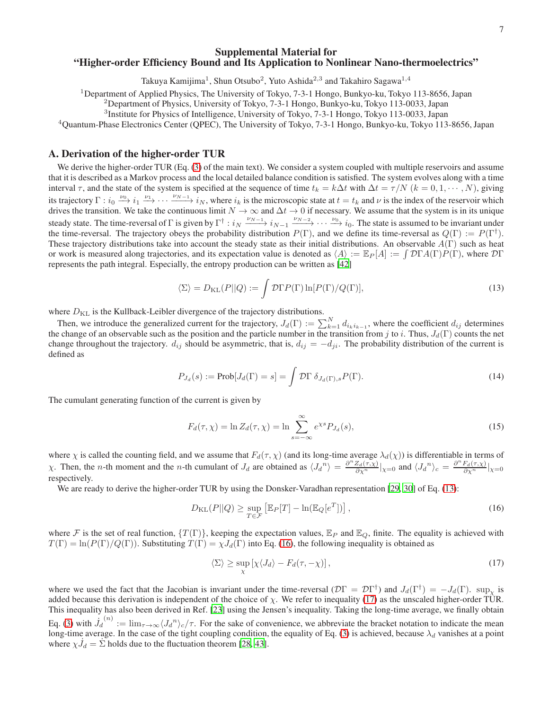## Supplemental Material for "Higher-order Efficiency Bound and Its Application to Nonlinear Nano-thermoelectrics"

Takuya Kamijima $^1$ , Shun Otsubo $^2$ , Yuto Ashida $^{2,3}$  and Takahiro Sagawa $^{1,4}$ 

<sup>1</sup>Department of Applied Physics, The University of Tokyo, 7-3-1 Hongo, Bunkyo-ku, Tokyo 113-8656, Japan

<sup>2</sup>Department of Physics, University of Tokyo, 7-3-1 Hongo, Bunkyo-ku, Tokyo 113-0033, Japan

<sup>3</sup>Institute for Physics of Intelligence, University of Tokyo, 7-3-1 Hongo, Tokyo 113-0033, Japan

<sup>4</sup>Quantum-Phase Electronics Center (QPEC), The University of Tokyo, 7-3-1 Hongo, Bunkyo-ku, Tokyo 113-8656, Japan

## A. Derivation of the higher-order TUR

We derive the higher-order TUR (Eq. [\(3\)](#page-1-0) of the main text). We consider a system coupled with multiple reservoirs and assume that it is described as a Markov process and the local detailed balance condition is satisfied. The system evolves along with a time interval  $\tau$ , and the state of the system is specified at the sequence of time  $t_k = k\Delta t$  with  $\Delta t = \tau/N$  ( $k = 0, 1, \dots, N$ ), giving its trajectory  $\Gamma : i_0 \xrightarrow{\nu_0} i_1 \xrightarrow{\nu_1} \cdots \xrightarrow{\nu_{N-1}} i_N$ , where  $i_k$  is the microscopic state at  $t = t_k$  and  $\nu$  is the index of the reservoir which drives the transition. We take the continuous limit  $N \to \infty$  and  $\Delta t \to 0$  if necessary. We assume that the system is in its unique steady state. The time-reversal of Γ is given by  $\Gamma^{\dagger}$  :  $i_N \xrightarrow{\nu_{N-1}} i_{N-1} \xrightarrow{\nu_{N-2}} \cdots \xrightarrow{\nu_0} i_0$ . The state is assumed to be invariant under the time-reversal. The trajectory obeys the probability distribution  $P(\Gamma)$ , and we define its time-reversal as  $Q(\Gamma) := P(\Gamma^{\dagger})$ . These trajectory distributions take into account the steady state as their initial distributions. An observable  $A(\Gamma)$  such as heat or work is measured along trajectories, and its expectation value is denoted as  $\langle A \rangle := \mathbb{E}_P[A] := \int \mathcal{D}\Gamma A(\Gamma) \dot{P}(\Gamma)$ , where  $\mathcal{D}\Gamma$ represents the path integral. Especially, the entropy production can be written as [\[42](#page-8-0)]

<span id="page-6-0"></span>
$$
\langle \Sigma \rangle = D_{\text{KL}}(P||Q) := \int \mathcal{D}\Gamma P(\Gamma) \ln[P(\Gamma)/Q(\Gamma)],\tag{13}
$$

where  $D_{\text{KL}}$  is the Kullback-Leibler divergence of the trajectory distributions.

Then, we introduce the generalized current for the trajectory,  $J_d(\Gamma) := \sum_{k=1}^{N} d_{i_k i_{k-1}}$ , where the coefficient  $d_{ij}$  determines the change of an observable such as the position and the particle number in the transition from j to i. Thus,  $J_d(\Gamma)$  counts the net change throughout the trajectory.  $d_{ij}$  should be asymmetric, that is,  $d_{ij} = -d_{ji}$ . The probability distribution of the current is defined as

$$
P_{J_d}(s) := \text{Prob}[J_d(\Gamma) = s] = \int \mathcal{D}\Gamma \, \delta_{J_d(\Gamma),s} P(\Gamma). \tag{14}
$$

The cumulant generating function of the current is given by

$$
F_d(\tau, \chi) = \ln Z_d(\tau, \chi) = \ln \sum_{s = -\infty}^{\infty} e^{\chi s} P_{J_d}(s), \qquad (15)
$$

where  $\chi$  is called the counting field, and we assume that  $F_d(\tau, \chi)$  (and its long-time average  $\lambda_d(\chi)$ ) is differentiable in terms of  $\chi$ . Then, the *n*-th moment and the *n*-th cumulant of  $J_d$  are obtained as  $\langle J_d^n \rangle = \frac{\partial^n Z_d(\tau,\chi)}{\partial \chi^n}|_{\chi=0}$  and  $\langle J_d^n \rangle_c = \frac{\partial^n F_d(\tau,\chi)}{\partial \chi^n}|_{\chi=0}$ respectively.

We are ready to derive the higher-order TUR by using the Donsker-Varadhan representation [\[29,](#page-4-20) [30\]](#page-4-21) of Eq. [\(13\)](#page-6-0):

<span id="page-6-1"></span>
$$
D_{\text{KL}}(P||Q) \ge \sup_{T \in \mathcal{F}} \left[ \mathbb{E}_P[T] - \ln(\mathbb{E}_Q[e^T]) \right],\tag{16}
$$

where F is the set of real function,  $\{T(\Gamma)\}\$ , keeping the expectation values,  $\mathbb{E}_P$  and  $\mathbb{E}_Q$ , finite. The equality is achieved with  $T(\Gamma) = \ln(P(\Gamma)/Q(\Gamma))$ . Substituting  $T(\Gamma) = \chi J_d(\Gamma)$  into Eq. [\(16\)](#page-6-1), the following inequality is obtained as

<span id="page-6-2"></span>
$$
\langle \Sigma \rangle \ge \sup_{\chi} \left[ \chi \langle J_d \rangle - F_d(\tau, -\chi) \right],\tag{17}
$$

where we used the fact that the Jacobian is invariant under the time-reversal  $(D\Gamma = D\Gamma^{\dagger})$  and  $J_d(\Gamma^{\dagger}) = -J_d(\Gamma)$ .  $\sup_{\chi}$  is added because this derivation is independent of the choice of  $\chi$ . We refer to inequality [\(17\)](#page-6-2) as the unscaled higher-order TUR. This inequality has also been derived in Ref. [\[23\]](#page-4-14) using the Jensen's inequality. Taking the long-time average, we finally obtain Eq. [\(3\)](#page-1-0) with  $\dot{J}_d$  $\zeta^{(n)} := \lim_{\tau \to \infty} \langle J_d^{(n)} \rangle_c / \tau$ . For the sake of convenience, we abbreviate the bracket notation to indicate the mean long-time average. In the case of the tight coupling condition, the equality of Eq. [\(3\)](#page-1-0) is achieved, because  $\lambda_d$  vanishes at a point where  $\chi \dot{J}_d = \dot{\Sigma}$  holds due to the fluctuation theorem [\[28,](#page-4-19) [43\]](#page-8-1).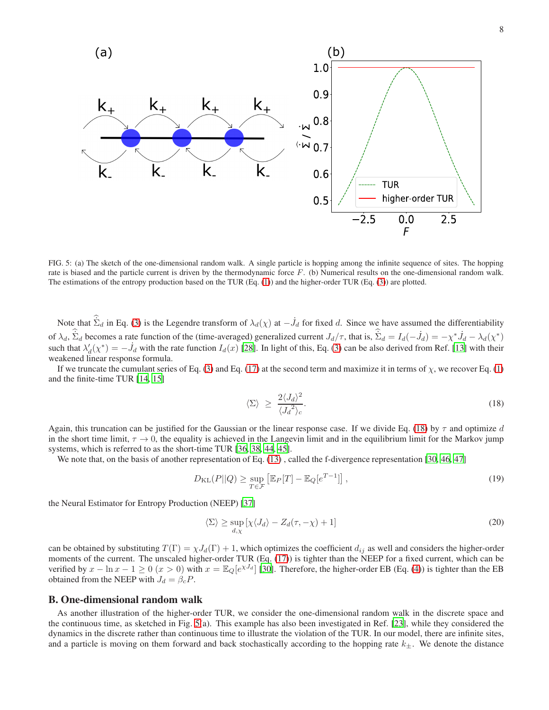

<span id="page-7-1"></span>FIG. 5: (a) The sketch of the one-dimensional random walk. A single particle is hopping among the infinite sequence of sites. The hopping rate is biased and the particle current is driven by the thermodynamic force F. (b) Numerical results on the one-dimensional random walk. The estimations of the entropy production based on the TUR (Eq. [\(1\)](#page-0-0)) and the higher-order TUR (Eq. [\(3\)](#page-1-0)) are plotted.

Note that  $\dot{\Sigma}_d$  in Eq. [\(3\)](#page-1-0) is the Legendre transform of  $\lambda_d(\chi)$  at  $-\dot{J}_d$  for fixed d. Since we have assumed the differentiability of  $\lambda_d$ ,  $\dot{\Sigma}_d$  becomes a rate function of the (time-averaged) generalized current  $J_d/\tau$ , that is,  $\dot{\Sigma}_d = I_d(-\dot{J}_d) = -\chi^* \dot{J}_d - \lambda_d(\chi^*)$ such that  $\lambda_d'(\chi^*) = -\dot{J}_d$  with the rate function  $I_d(x)$  [\[28](#page-4-19)]. In light of this, Eq. [\(3\)](#page-1-0) can be also derived from Ref. [\[13\]](#page-4-32) with their weakened linear response formula.

If we truncate the cumulant series of Eq. [\(3\)](#page-1-0) and Eq. [\(17\)](#page-6-2) at the second term and maximize it in terms of  $\chi$ , we recover Eq. [\(1\)](#page-0-0) and the finite-time TUR [\[14](#page-4-33), [15](#page-4-34)]

<span id="page-7-0"></span>
$$
\langle \Sigma \rangle \ge \frac{2 \langle J_d \rangle^2}{\langle J_d \rangle_c}.
$$
\n(18)

Again, this truncation can be justified for the Gaussian or the linear response case. If we divide Eq. [\(18\)](#page-7-0) by  $\tau$  and optimize d in the short time limit,  $\tau \to 0$ , the equality is achieved in the Langevin limit and in the equilibrium limit for the Markov jump systems, which is referred to as the short-time TUR [\[36,](#page-4-27) [38](#page-4-29), [44](#page-8-2), [45](#page-8-3)].

We note that, on the basis of another representation of Eq. [\(13\)](#page-6-0), called the f-divergence representation [\[30,](#page-4-21) [46,](#page-8-4) [47\]](#page-8-5)

$$
D_{\text{KL}}(P||Q) \ge \sup_{T \in \mathcal{F}} \left[ \mathbb{E}_P[T] - \mathbb{E}_Q[e^{T-1}] \right],\tag{19}
$$

the Neural Estimator for Entropy Production (NEEP) [\[37\]](#page-4-28)

$$
\langle \Sigma \rangle \ge \sup_{d,\chi} \left[ \chi \langle J_d \rangle - Z_d(\tau, -\chi) + 1 \right] \tag{20}
$$

can be obtained by substituting  $T(\Gamma) = \chi J_d(\Gamma) + 1$ , which optimizes the coefficient  $d_{ij}$  as well and considers the higher-order moments of the current. The unscaled higher-order TUR (Eq. [\(17\)](#page-6-2)) is tighter than the NEEP for a fixed current, which can be verified by  $x - \ln x - 1 \ge 0$  ( $x > 0$ ) with  $x = \mathbb{E}_{Q}[e^{\chi J_d}]$  [\[30\]](#page-4-21). Therefore, the higher-order EB (Eq. [\(4\)](#page-1-1)) is tighter than the EB obtained from the NEEP with  $J_d = \beta_c P$ .

#### B. One-dimensional random walk

As another illustration of the higher-order TUR, we consider the one-dimensional random walk in the discrete space and the continuous time, as sketched in Fig. [5\(](#page-7-1)a). This example has also been investigated in Ref. [\[23\]](#page-4-14), while they considered the dynamics in the discrete rather than continuous time to illustrate the violation of the TUR. In our model, there are infinite sites, and a particle is moving on them forward and back stochastically according to the hopping rate  $k_{\pm}$ . We denote the distance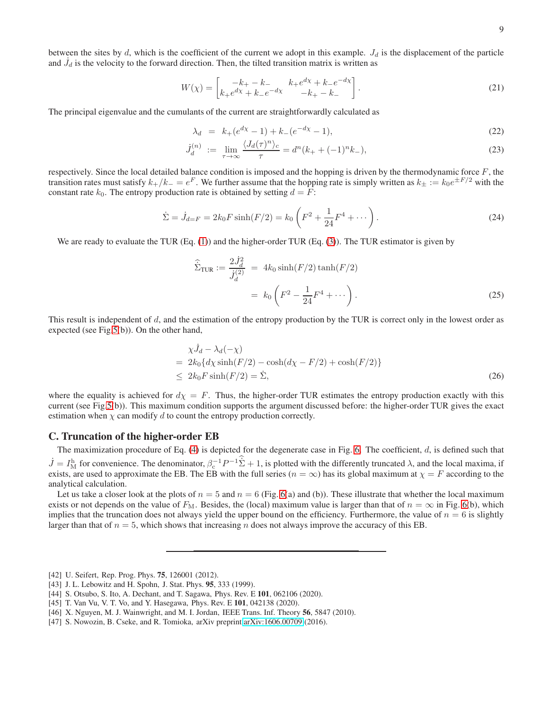between the sites by  $d$ , which is the coefficient of the current we adopt in this example.  $J_d$  is the displacement of the particle and  $\dot{J}_d$  is the velocity to the forward direction. Then, the tilted transition matrix is written as

$$
W(\chi) = \begin{bmatrix} -k_+ - k_- & k_+ e^{d\chi} + k_- e^{-d\chi} \\ k_+ e^{d\chi} + k_- e^{-d\chi} & -k_+ - k_- \end{bmatrix}.
$$
 (21)

The principal eigenvalue and the cumulants of the current are straightforwardly calculated as

$$
\lambda_d = k_+(e^{d\chi} - 1) + k_-(e^{-d\chi} - 1),\tag{22}
$$

$$
\dot{J}_d^{(n)} := \lim_{\tau \to \infty} \frac{\langle J_d(\tau)^n \rangle_c}{\tau} = d^n(k_+ + (-1)^n k_-), \tag{23}
$$

respectively. Since the local detailed balance condition is imposed and the hopping is driven by the thermodynamic force  $F$ , the transition rates must satisfy  $k_+/k_- = e^F$ . We further assume that the hopping rate is simply written as  $k_{\pm} := k_0 e^{\pm F/2}$  with the constant rate  $k_0$ . The entropy production rate is obtained by setting  $d = F$ :

$$
\dot{\Sigma} = \dot{J}_{d=F} = 2k_0 F \sinh(F/2) = k_0 \left( F^2 + \frac{1}{24} F^4 + \cdots \right). \tag{24}
$$

We are ready to evaluate the TUR (Eq. [\(1\)](#page-0-0)) and the higher-order TUR (Eq. [\(3\)](#page-1-0)). The TUR estimator is given by

$$
\hat{\Sigma}_{\text{TUR}} := \frac{2J_d^2}{J_d^{(2)}} = 4k_0 \sinh(F/2) \tanh(F/2) \n= k_0 \left(F^2 - \frac{1}{24}F^4 + \cdots\right).
$$
\n(25)

This result is independent of  $d$ , and the estimation of the entropy production by the TUR is correct only in the lowest order as expected (see Fig[.5\(](#page-7-1)b)). On the other hand,

$$
\chi \dot{J}_d - \lambda_d(-\chi)
$$
  
=  $2k_0 \{d\chi \sinh(F/2) - \cosh(d\chi - F/2) + \cosh(F/2)\}$   
 $\leq 2k_0 F \sinh(F/2) = \dot{\Sigma},$  (26)

where the equality is achieved for  $d\chi = F$ . Thus, the higher-order TUR estimates the entropy production exactly with this current (see Fig[.5\(](#page-7-1)b)). This maximum condition supports the argument discussed before: the higher-order TUR gives the exact estimation when  $\chi$  can modify d to count the entropy production correctly.

## C. Truncation of the higher-order EB

The maximization procedure of Eq.  $(4)$  is depicted for the degenerate case in Fig. [6.](#page-9-0) The coefficient,  $d$ , is defined such that  $\dot{J} = I_M^{\text{h}}$  for convenience. The denominator,  $\beta_c^{-1}P^{-1}\dot{\Sigma} + 1$ , is plotted with the differently truncated  $\lambda$ , and the local maxima, if exists, are used to approximate the EB. The EB with the full series  $(n = \infty)$  has its global maximum at  $\chi = F$  according to the analytical calculation.

Let us take a closer look at the plots of  $n = 5$  and  $n = 6$  (Fig. [6\(](#page-9-0)a) and (b)). These illustrate that whether the local maximum exists or not depends on the value of  $F_M$ . Besides, the (local) maximum value is larger than that of  $n = \infty$  in Fig. [6\(](#page-9-0)b), which implies that the truncation does not always yield the upper bound on the efficiency. Furthermore, the value of  $n = 6$  is slightly larger than that of  $n = 5$ , which shows that increasing n does not always improve the accuracy of this EB.

<span id="page-8-4"></span>[46] X. Nguyen, M. J. Wainwright, and M. I. Jordan, IEEE Trans. Inf. Theory 56, 5847 (2010).

<span id="page-8-0"></span><sup>[42]</sup> U. Seifert, Rep. Prog. Phys. **75**, 126001 (2012).

<span id="page-8-1"></span><sup>[43]</sup> J. L. Lebowitz and H. Spohn, J. Stat. Phys. 95, 333 (1999).

<span id="page-8-2"></span><sup>[44]</sup> S. Otsubo, S. Ito, A. Dechant, and T. Sagawa, Phys. Rev. E 101, 062106 (2020).

<span id="page-8-3"></span><sup>[45]</sup> T. Van Vu, V. T. Vo, and Y. Hasegawa, Phys. Rev. E 101, 042138 (2020).

<span id="page-8-5"></span><sup>[47]</sup> S. Nowozin, B. Cseke, and R. Tomioka, arXiv preprint [arXiv:1606.00709](http://arxiv.org/abs/1606.00709) (2016).